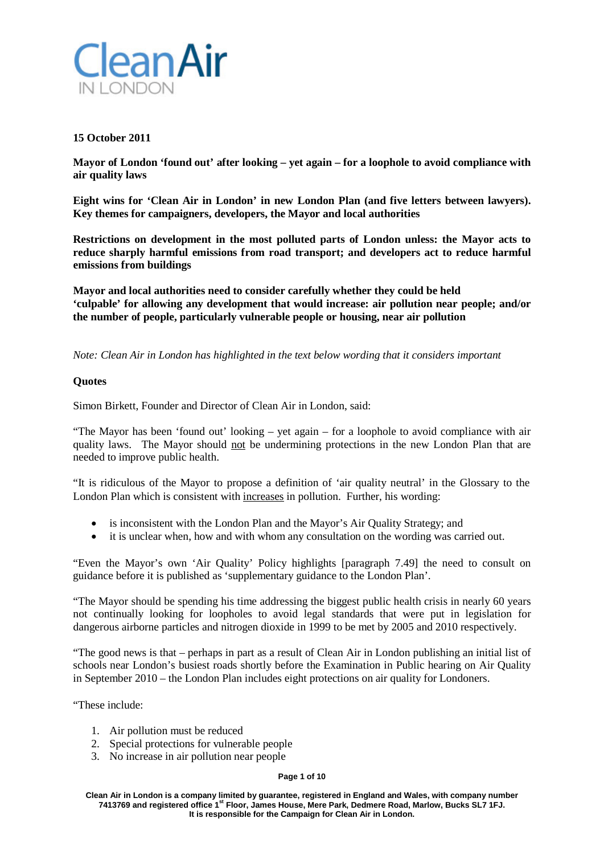

## **15 October 2011**

**Mayor of London 'found out' after looking – yet again – for a loophole to avoid compliance with air quality laws**

**Eight wins for 'Clean Air in London' in new London Plan (and five letters between lawyers). Key themes for campaigners, developers, the Mayor and local authorities**

**Restrictions on development in the most polluted parts of London unless: the Mayor acts to reduce sharply harmful emissions from road transport; and developers act to reduce harmful emissions from buildings**

**Mayor and local authorities need to consider carefully whether they could be held 'culpable' for allowing any development that would increase: air pollution near people; and/or the number of people, particularly vulnerable people or housing, near air pollution**

*Note: Clean Air in London has highlighted in the text below wording that it considers important*

## **Quotes**

Simon Birkett, Founder and Director of Clean Air in London, said:

"The Mayor has been 'found out' looking – yet again – for a loophole to avoid compliance with air quality laws. The Mayor should not be undermining protections in the new London Plan that are needed to improve public health.

"It is ridiculous of the Mayor to propose a definition of 'air quality neutral' in the Glossary to the London Plan which is consistent with increases in pollution. Further, his wording:

- is inconsistent with the London Plan and the Mayor's Air Quality Strategy; and
- it is unclear when, how and with whom any consultation on the wording was carried out.

"Even the Mayor's own 'Air Quality' Policy highlights [paragraph 7.49] the need to consult on guidance before it is published as 'supplementary guidance to the London Plan'.

"The Mayor should be spending his time addressing the biggest public health crisis in nearly 60 years not continually looking for loopholes to avoid legal standards that were put in legislation for dangerous airborne particles and nitrogen dioxide in 1999 to be met by 2005 and 2010 respectively.

"The good news is that – perhaps in part as a result of Clean Air in London publishing an initial list of schools near London's busiest roads shortly before the Examination in Public hearing on Air Quality in September 2010 – the London Plan includes eight protections on air quality for Londoners.

"These include:

- 1. Air pollution must be reduced
- 2. Special protections for vulnerable people
- 3. No increase in air pollution near people

#### **Page 1 of 10**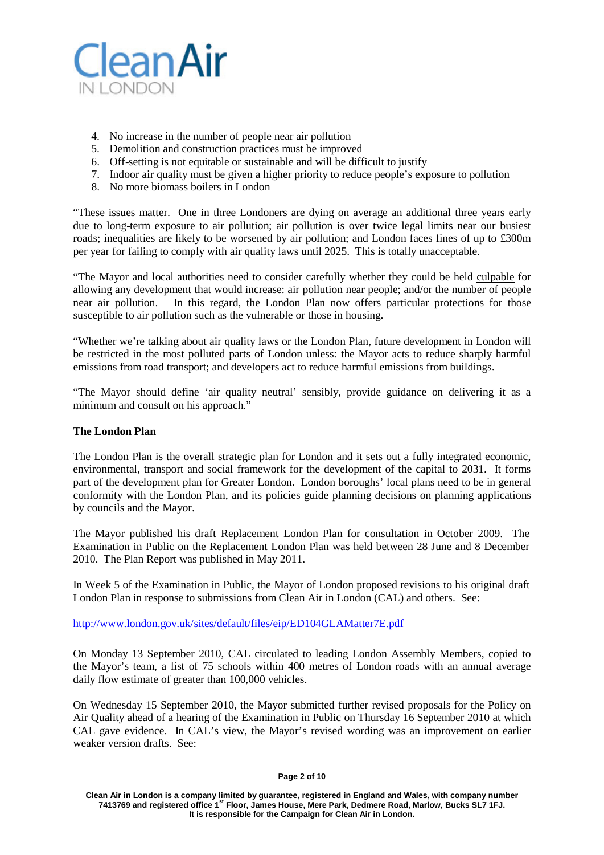

- 4. No increase in the number of people near air pollution
- 5. Demolition and construction practices must be improved
- 6. Off-setting is not equitable or sustainable and will be difficult to justify
- 7. Indoor air quality must be given a higher priority to reduce people's exposure to pollution
- 8. No more biomass boilers in London

"These issues matter. One in three Londoners are dying on average an additional three years early due to long-term exposure to air pollution; air pollution is over twice legal limits near our busiest roads; inequalities are likely to be worsened by air pollution; and London faces fines of up to £300m per year for failing to comply with air quality laws until 2025. This is totally unacceptable.

"The Mayor and local authorities need to consider carefully whether they could be held culpable for allowing any development that would increase: air pollution near people; and/or the number of people near air pollution. In this regard, the London Plan now offers particular protections for those susceptible to air pollution such as the vulnerable or those in housing.

"Whether we're talking about air quality laws or the London Plan, future development in London will be restricted in the most polluted parts of London unless: the Mayor acts to reduce sharply harmful emissions from road transport; and developers act to reduce harmful emissions from buildings.

"The Mayor should define 'air quality neutral' sensibly, provide guidance on delivering it as a minimum and consult on his approach."

## **The London Plan**

The London Plan is the overall strategic plan for London and it sets out a fully integrated economic, environmental, transport and social framework for the development of the capital to 2031. It forms part of the development plan for Greater London. London boroughs' local plans need to be in general conformity with the London Plan, and its policies guide planning decisions on planning applications by councils and the Mayor.

The Mayor published his draft Replacement London Plan for consultation in October 2009. The Examination in Public on the Replacement London Plan was held between 28 June and 8 December 2010. The Plan Report was published in May 2011.

In Week 5 of the Examination in Public, the Mayor of London proposed revisions to his original draft London Plan in response to submissions from Clean Air in London (CAL) and others. See:

<http://www.london.gov.uk/sites/default/files/eip/ED104GLAMatter7E.pdf>

On Monday 13 September 2010, CAL circulated to leading London Assembly Members, copied to the Mayor's team, a list of 75 schools within 400 metres of London roads with an annual average daily flow estimate of greater than 100,000 vehicles.

On Wednesday 15 September 2010, the Mayor submitted further revised proposals for the Policy on Air Quality ahead of a hearing of the Examination in Public on Thursday 16 September 2010 at which CAL gave evidence. In CAL's view, the Mayor's revised wording was an improvement on earlier weaker version drafts. See: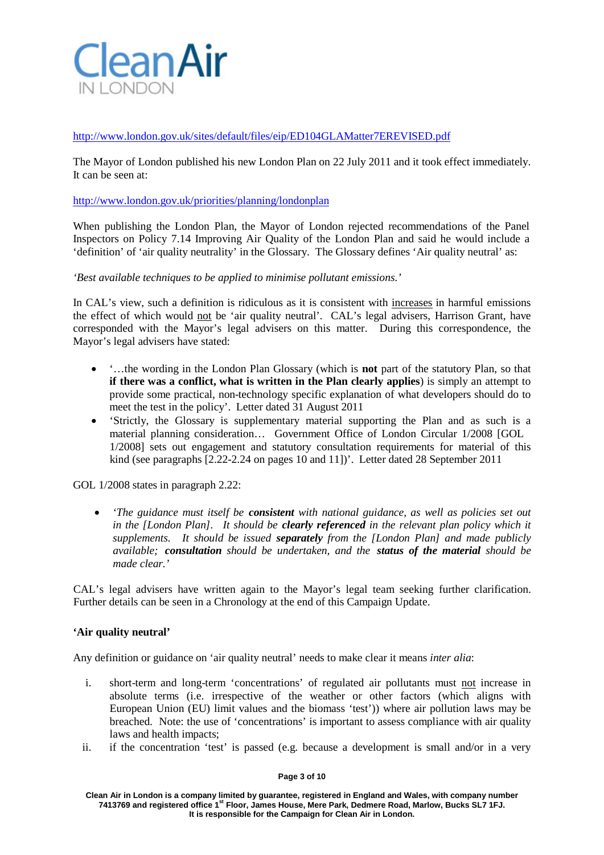

<http://www.london.gov.uk/sites/default/files/eip/ED104GLAMatter7EREVISED.pdf>

The Mayor of London published his new London Plan on 22 July 2011 and it took effect immediately. It can be seen at:

### <http://www.london.gov.uk/priorities/planning/londonplan>

When publishing the London Plan, the Mayor of London rejected recommendations of the Panel Inspectors on Policy 7.14 Improving Air Quality of the London Plan and said he would include a 'definition' of 'air quality neutrality' in the Glossary. The Glossary defines 'Air quality neutral' as:

*'Best available techniques to be applied to minimise pollutant emissions.'*

In CAL's view, such a definition is ridiculous as it is consistent with increases in harmful emissions the effect of which would not be 'air quality neutral'. CAL's legal advisers, Harrison Grant, have corresponded with the Mayor's legal advisers on this matter. During this correspondence, the Mayor's legal advisers have stated:

- '…the wording in the London Plan Glossary (which is **not** part of the statutory Plan, so that **if there was a conflict, what is written in the Plan clearly applies**) is simply an attempt to provide some practical, non-technology specific explanation of what developers should do to meet the test in the policy'. Letter dated 31 August 2011
- 'Strictly, the Glossary is supplementary material supporting the Plan and as such is a material planning consideration… Government Office of London Circular 1/2008 [GOL 1/2008] sets out engagement and statutory consultation requirements for material of this kind (see paragraphs [2.22-2.24 on pages 10 and 11])'. Letter dated 28 September 2011

GOL 1/2008 states in paragraph 2.22:

• *'The guidance must itself be consistent with national guidance, as well as policies set out in the [London Plan]. It should be clearly referenced in the relevant plan policy which it supplements. It should be issued separately from the [London Plan] and made publicly available; consultation should be undertaken, and the status of the material should be made clear.'*

CAL's legal advisers have written again to the Mayor's legal team seeking further clarification. Further details can be seen in a Chronology at the end of this Campaign Update.

### **'Air quality neutral'**

Any definition or guidance on 'air quality neutral' needs to make clear it means *inter alia*:

- i. short-term and long-term 'concentrations' of regulated air pollutants must not increase in absolute terms (i.e. irrespective of the weather or other factors (which aligns with European Union (EU) limit values and the biomass 'test')) where air pollution laws may be breached. Note: the use of 'concentrations' is important to assess compliance with air quality laws and health impacts;
- ii. if the concentration 'test' is passed (e.g. because a development is small and/or in a very

#### **Page 3 of 10**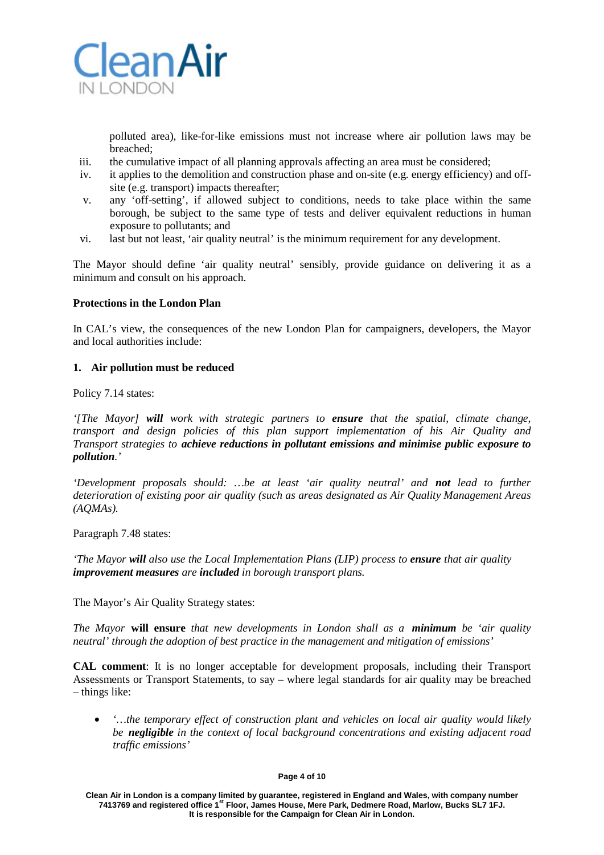

polluted area), like-for-like emissions must not increase where air pollution laws may be breached;

- iii. the cumulative impact of all planning approvals affecting an area must be considered;
- iv. it applies to the demolition and construction phase and on-site (e.g. energy efficiency) and offsite (e.g. transport) impacts thereafter;
- v. any 'off-setting', if allowed subject to conditions, needs to take place within the same borough, be subject to the same type of tests and deliver equivalent reductions in human exposure to pollutants; and
- vi. last but not least, 'air quality neutral' is the minimum requirement for any development.

The Mayor should define 'air quality neutral' sensibly, provide guidance on delivering it as a minimum and consult on his approach.

## **Protections in the London Plan**

In CAL's view, the consequences of the new London Plan for campaigners, developers, the Mayor and local authorities include:

### **1. Air pollution must be reduced**

Policy 7.14 states:

*'[The Mayor] will work with strategic partners to ensure that the spatial, climate change, transport and design policies of this plan support implementation of his Air Quality and Transport strategies to achieve reductions in pollutant emissions and minimise public exposure to pollution.'*

*'Development proposals should: …be at least 'air quality neutral' and not lead to further deterioration of existing poor air quality (such as areas designated as Air Quality Management Areas (AQMAs).*

Paragraph 7.48 states:

*'The Mayor will also use the Local Implementation Plans (LIP) process to ensure that air quality improvement measures are included in borough transport plans.*

The Mayor's Air Quality Strategy states:

*The Mayor* **will ensure** *that new developments in London shall as a minimum be 'air quality neutral' through the adoption of best practice in the management and mitigation of emissions'*

**CAL comment**: It is no longer acceptable for development proposals, including their Transport Assessments or Transport Statements, to say – where legal standards for air quality may be breached – things like:

• *'…the temporary effect of construction plant and vehicles on local air quality would likely be negligible in the context of local background concentrations and existing adjacent road traffic emissions'*

#### **Page 4 of 10**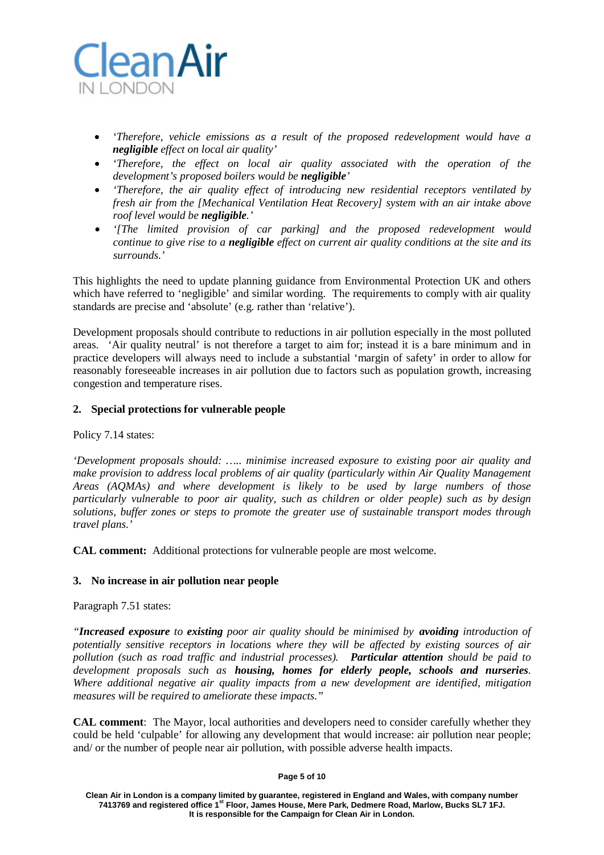

- *'Therefore, vehicle emissions as a result of the proposed redevelopment would have a negligible effect on local air quality'*
- *'Therefore, the effect on local air quality associated with the operation of the development's proposed boilers would be negligible'*
- *'Therefore, the air quality effect of introducing new residential receptors ventilated by fresh air from the [Mechanical Ventilation Heat Recovery] system with an air intake above roof level would be negligible.'*
- *'[The limited provision of car parking] and the proposed redevelopment would continue to give rise to a negligible effect on current air quality conditions at the site and its surrounds.'*

This highlights the need to update planning guidance from Environmental Protection UK and others which have referred to 'negligible' and similar wording. The requirements to comply with air quality standards are precise and 'absolute' (e.g. rather than 'relative').

Development proposals should contribute to reductions in air pollution especially in the most polluted areas. 'Air quality neutral' is not therefore a target to aim for; instead it is a bare minimum and in practice developers will always need to include a substantial 'margin of safety' in order to allow for reasonably foreseeable increases in air pollution due to factors such as population growth, increasing congestion and temperature rises.

## **2. Special protections for vulnerable people**

Policy 7.14 states:

*'Development proposals should: ….. minimise increased exposure to existing poor air quality and make provision to address local problems of air quality (particularly within Air Quality Management Areas (AQMAs) and where development is likely to be used by large numbers of those particularly vulnerable to poor air quality, such as children or older people) such as by design solutions, buffer zones or steps to promote the greater use of sustainable transport modes through travel plans.'*

**CAL comment:** Additional protections for vulnerable people are most welcome.

## **3. No increase in air pollution near people**

Paragraph 7.51 states:

*"Increased exposure to existing poor air quality should be minimised by avoiding introduction of potentially sensitive receptors in locations where they will be affected by existing sources of air pollution (such as road traffic and industrial processes). Particular attention should be paid to development proposals such as housing, homes for elderly people, schools and nurseries. Where additional negative air quality impacts from a new development are identified, mitigation measures will be required to ameliorate these impacts."*

**CAL comment**: The Mayor, local authorities and developers need to consider carefully whether they could be held 'culpable' for allowing any development that would increase: air pollution near people; and/ or the number of people near air pollution, with possible adverse health impacts.

#### **Page 5 of 10**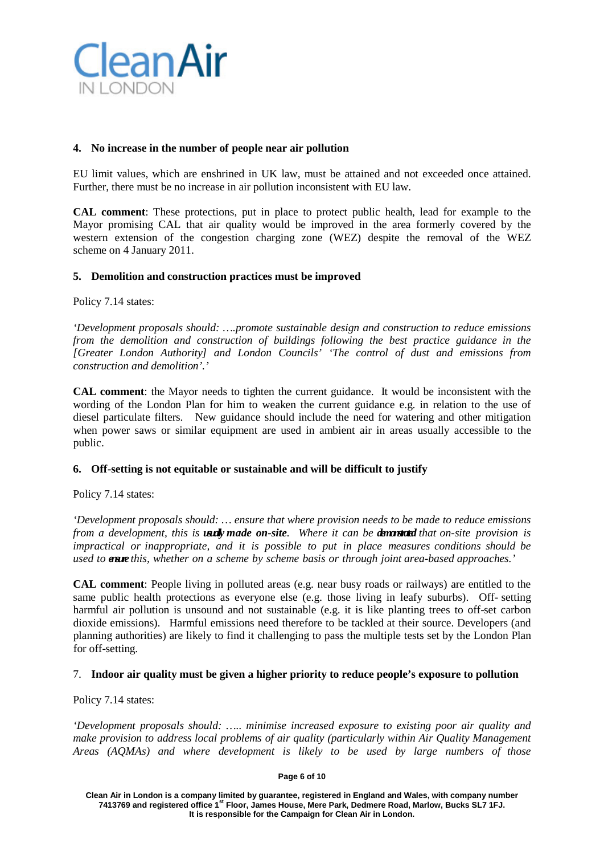

## **4. No increase in the number of people near air pollution**

EU limit values, which are enshrined in UK law, must be attained and not exceeded once attained. Further, there must be no increase in air pollution inconsistent with EU law.

**CAL comment**: These protections, put in place to protect public health, lead for example to the Mayor promising CAL that air quality would be improved in the area formerly covered by the western extension of the congestion charging zone (WEZ) despite the removal of the WEZ scheme on 4 January 2011.

## **5. Demolition and construction practices must be improved**

Policy 7.14 states:

*'Development proposals should: ….promote sustainable design and construction to reduce emissions from the demolition and construction of buildings following the best practice guidance in the [Greater London Authority] and London Councils' 'The control of dust and emissions from construction and demolition'.'*

**CAL comment**: the Mayor needs to tighten the current guidance. It would be inconsistent with the wording of the London Plan for him to weaken the current guidance e.g. in relation to the use of diesel particulate filters. New guidance should include the need for watering and other mitigation when power saws or similar equipment are used in ambient air in areas usually accessible to the public.

## **6. Off-setting is not equitable or sustainable and will be difficult to justify**

Policy 7.14 states:

*'Development proposals should: … ensure that where provision needs to be made to reduce emissions from a development, this is usually made on-site. Where it can be demonstrated that on-site provision is impractical or inappropriate, and it is possible to put in place measures conditions should be used to ensure this, whether on a scheme by scheme basis or through joint area-based approaches.'*

**CAL comment**: People living in polluted areas (e.g. near busy roads or railways) are entitled to the same public health protections as everyone else (e.g. those living in leafy suburbs). Off- setting harmful air pollution is unsound and not sustainable (e.g. it is like planting trees to off-set carbon dioxide emissions). Harmful emissions need therefore to be tackled at their source. Developers (and planning authorities) are likely to find it challenging to pass the multiple tests set by the London Plan for off-setting.

## 7. **Indoor air quality must be given a higher priority to reduce people's exposure to pollution**

Policy 7.14 states:

*'Development proposals should: ….. minimise increased exposure to existing poor air quality and make provision to address local problems of air quality (particularly within Air Quality Management Areas (AQMAs) and where development is likely to be used by large numbers of those*

#### **Page 6 of 10**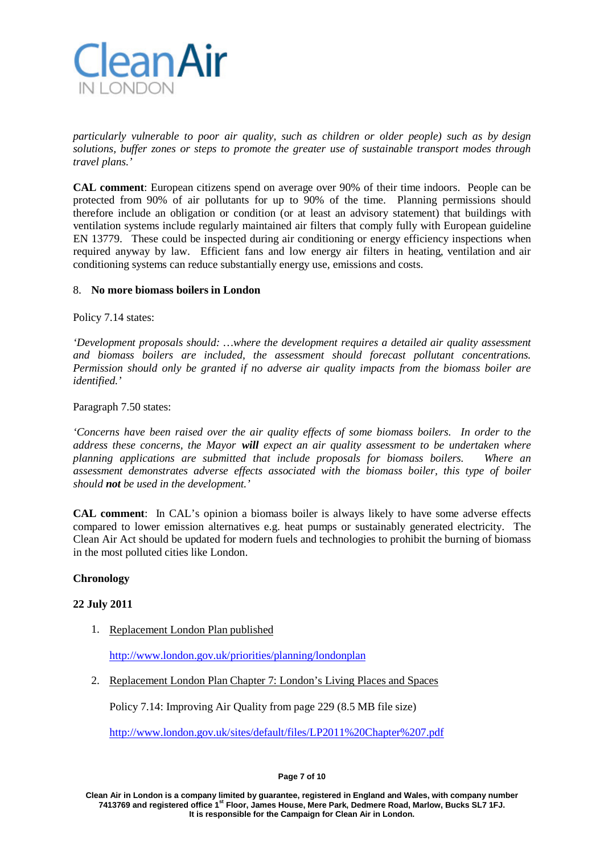

*particularly vulnerable to poor air quality, such as children or older people) such as by design solutions, buffer zones or steps to promote the greater use of sustainable transport modes through travel plans.'*

**CAL comment**: European citizens spend on average over 90% of their time indoors. People can be protected from 90% of air pollutants for up to 90% of the time. Planning permissions should therefore include an obligation or condition (or at least an advisory statement) that buildings with ventilation systems include regularly maintained air filters that comply fully with European guideline EN 13779. These could be inspected during air conditioning or energy efficiency inspections when required anyway by law. Efficient fans and low energy air filters in heating, ventilation and air conditioning systems can reduce substantially energy use, emissions and costs.

### 8. **No more biomass boilers in London**

Policy 7.14 states:

*'Development proposals should: …where the development requires a detailed air quality assessment and biomass boilers are included, the assessment should forecast pollutant concentrations. Permission should only be granted if no adverse air quality impacts from the biomass boiler are identified.'*

Paragraph 7.50 states:

*'Concerns have been raised over the air quality effects of some biomass boilers. In order to the address these concerns, the Mayor will expect an air quality assessment to be undertaken where planning applications are submitted that include proposals for biomass boilers. Where an assessment demonstrates adverse effects associated with the biomass boiler, this type of boiler should not be used in the development.'*

**CAL comment**: In CAL's opinion a biomass boiler is always likely to have some adverse effects compared to lower emission alternatives e.g. heat pumps or sustainably generated electricity. The Clean Air Act should be updated for modern fuels and technologies to prohibit the burning of biomass in the most polluted cities like London.

## **Chronology**

## **22 July 2011**

1. Replacement London Plan published

<http://www.london.gov.uk/priorities/planning/londonplan>

2. Replacement London Plan Chapter 7: London's Living Places and Spaces

Policy 7.14: Improving Air Quality from page 229 (8.5 MB file size)

<http://www.london.gov.uk/sites/default/files/LP2011%20Chapter%207.pdf>

#### **Page 7 of 10**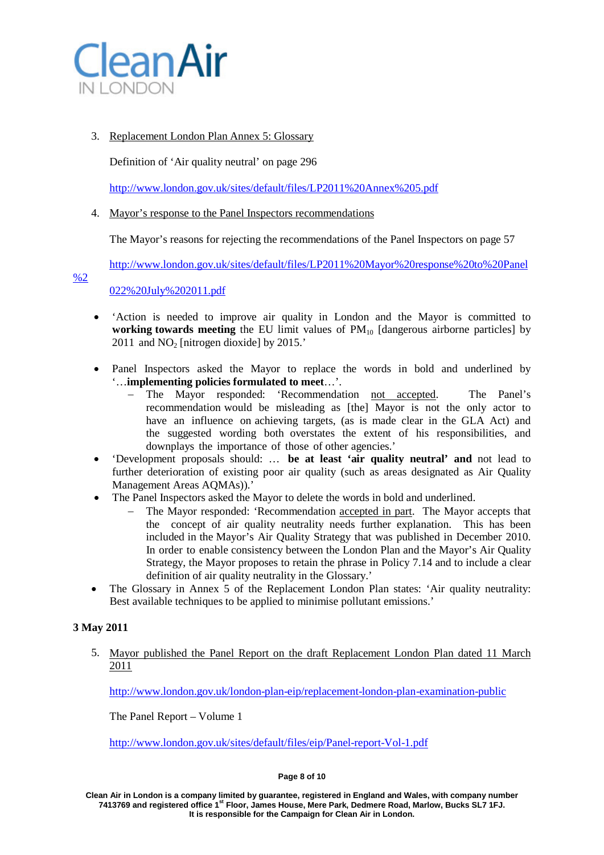

# 3. Replacement London Plan Annex 5: Glossary

Definition of 'Air quality neutral' on page 296

<http://www.london.gov.uk/sites/default/files/LP2011%20Annex%205.pdf>

## 4. Mayor's response to the Panel Inspectors recommendations

The Mayor's reasons for rejecting the recommendations of the Panel Inspectors on page 57

[http://www.london.gov.uk/sites/default/files/LP2011%20Mayor%20response%20to%20Panel](http://www.london.gov.uk/sites/default/files/LP2011%20Mayor%20response%20to%20Panel%2022%20July%202011.pdf)

[%2](http://www.london.gov.uk/sites/default/files/LP2011%20Mayor%20response%20to%20Panel%2022%20July%202011.pdf)

[022%20July%202011.pdf](http://www.london.gov.uk/sites/default/files/LP2011%20Mayor%20response%20to%20Panel%2022%20July%202011.pdf)

- 'Action is needed to improve air quality in London and the Mayor is committed to **working towards meeting** the EU limit values of  $PM_{10}$  [dangerous airborne particles] by 2011 and  $NO<sub>2</sub>$  [nitrogen dioxide] by 2015.'
- Panel Inspectors asked the Mayor to replace the words in bold and underlined by '…**implementing policies formulated to meet**…'.
	- The Mayor responded: 'Recommendation not accepted. The Panel's recommendation would be misleading as [the] Mayor is not the only actor to have an influence on achieving targets, (as is made clear in the GLA Act) and the suggested wording both overstates the extent of his responsibilities, and downplays the importance of those of other agencies.'
- 'Development proposals should: … **be at least 'air quality neutral' and** not lead to further deterioration of existing poor air quality (such as areas designated as Air Quality Management Areas AQMAs)).'
- The Panel Inspectors asked the Mayor to delete the words in bold and underlined.
	- The Mayor responded: 'Recommendation accepted in part. The Mayor accepts that the concept of air quality neutrality needs further explanation. This has been included in the Mayor's Air Quality Strategy that was published in December 2010. In order to enable consistency between the London Plan and the Mayor's Air Quality Strategy, the Mayor proposes to retain the phrase in Policy 7.14 and to include a clear definition of air quality neutrality in the Glossary.'
- The Glossary in Annex 5 of the Replacement London Plan states: 'Air quality neutrality: Best available techniques to be applied to minimise pollutant emissions.'

# **3 May 2011**

5. Mayor published the Panel Report on the draft Replacement London Plan dated 11 March 2011

<http://www.london.gov.uk/london-plan-eip/replacement-london-plan-examination-public>

The Panel Report – Volume 1

<http://www.london.gov.uk/sites/default/files/eip/Panel-report-Vol-1.pdf>

#### **Page 8 of 10**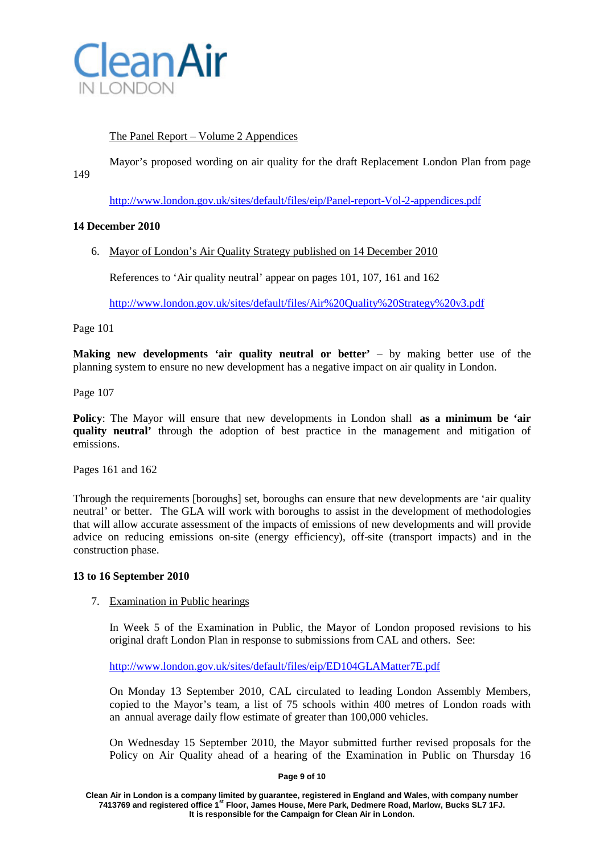

# The Panel Report – Volume 2 Appendices

Mayor's proposed wording on air quality for the draft Replacement London Plan from page

149

<http://www.london.gov.uk/sites/default/files/eip/Panel-report-Vol-2-appendices.pdf>

## **14 December 2010**

6. Mayor of London's Air Quality Strategy published on 14 December 2010

References to 'Air quality neutral' appear on pages 101, 107, 161 and 162

<http://www.london.gov.uk/sites/default/files/Air%20Quality%20Strategy%20v3.pdf>

Page 101

**Making new developments 'air quality neutral or better'** – by making better use of the planning system to ensure no new development has a negative impact on air quality in London.

Page 107

**Policy**: The Mayor will ensure that new developments in London shall **as a minimum be 'air quality neutral'** through the adoption of best practice in the management and mitigation of emissions.

Pages 161 and 162

Through the requirements [boroughs] set, boroughs can ensure that new developments are 'air quality neutral' or better. The GLA will work with boroughs to assist in the development of methodologies that will allow accurate assessment of the impacts of emissions of new developments and will provide advice on reducing emissions on-site (energy efficiency), off-site (transport impacts) and in the construction phase.

## **13 to 16 September 2010**

## 7. Examination in Public hearings

In Week 5 of the Examination in Public, the Mayor of London proposed revisions to his original draft London Plan in response to submissions from CAL and others. See:

<http://www.london.gov.uk/sites/default/files/eip/ED104GLAMatter7E.pdf>

On Monday 13 September 2010, CAL circulated to leading London Assembly Members, copied to the Mayor's team, a list of 75 schools within 400 metres of London roads with an annual average daily flow estimate of greater than 100,000 vehicles.

On Wednesday 15 September 2010, the Mayor submitted further revised proposals for the Policy on Air Quality ahead of a hearing of the Examination in Public on Thursday 16

### **Page 9 of 10**

**Clean Air in London is a company limited by guarantee, registered in England and Wales, with company number 7413769 and registered office 1st Floor, James House, Mere Park, Dedmere Road, Marlow, Bucks SL7 1FJ. It is responsible for the Campaign for Clean Air in London.**